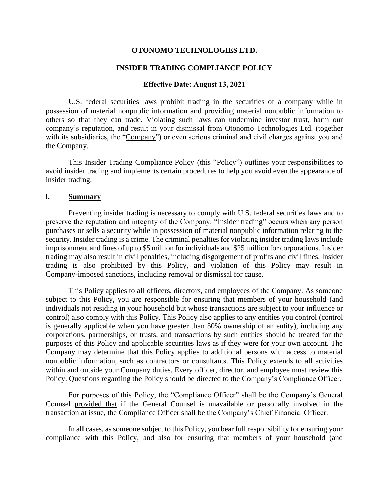#### **OTONOMO TECHNOLOGIES LTD.**

#### **INSIDER TRADING COMPLIANCE POLICY**

#### **Effective Date: August 13, 2021**

U.S. federal securities laws prohibit trading in the securities of a company while in possession of material nonpublic information and providing material nonpublic information to others so that they can trade. Violating such laws can undermine investor trust, harm our company's reputation, and result in your dismissal from Otonomo Technologies Ltd. (together with its subsidiaries, the "Company") or even serious criminal and civil charges against you and the Company.

This Insider Trading Compliance Policy (this "Policy") outlines your responsibilities to avoid insider trading and implements certain procedures to help you avoid even the appearance of insider trading.

#### **I. Summary**

Preventing insider trading is necessary to comply with U.S. federal securities laws and to preserve the reputation and integrity of the Company. "Insider trading" occurs when any person purchases or sells a security while in possession of material nonpublic information relating to the security. Insider trading is a crime. The criminal penalties for violating insider trading laws include imprisonment and fines of up to \$5 million for individuals and \$25 million for corporations. Insider trading may also result in civil penalties, including disgorgement of profits and civil fines. Insider trading is also prohibited by this Policy, and violation of this Policy may result in Company-imposed sanctions, including removal or dismissal for cause.

This Policy applies to all officers, directors, and employees of the Company. As someone subject to this Policy, you are responsible for ensuring that members of your household (and individuals not residing in your household but whose transactions are subject to your influence or control) also comply with this Policy. This Policy also applies to any entities you control (control is generally applicable when you have greater than 50% ownership of an entity), including any corporations, partnerships, or trusts, and transactions by such entities should be treated for the purposes of this Policy and applicable securities laws as if they were for your own account. The Company may determine that this Policy applies to additional persons with access to material nonpublic information, such as contractors or consultants. This Policy extends to all activities within and outside your Company duties. Every officer, director, and employee must review this Policy. Questions regarding the Policy should be directed to the Company's Compliance Officer.

For purposes of this Policy, the "Compliance Officer" shall be the Company's General Counsel provided that if the General Counsel is unavailable or personally involved in the transaction at issue, the Compliance Officer shall be the Company's Chief Financial Officer.

In all cases, as someone subject to this Policy, you bear full responsibility for ensuring your compliance with this Policy, and also for ensuring that members of your household (and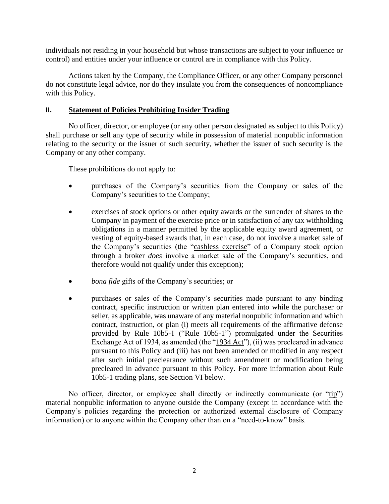individuals not residing in your household but whose transactions are subject to your influence or control) and entities under your influence or control are in compliance with this Policy.

Actions taken by the Company, the Compliance Officer, or any other Company personnel do not constitute legal advice, nor do they insulate you from the consequences of noncompliance with this Policy.

#### **II. Statement of Policies Prohibiting Insider Trading**

No officer, director, or employee (or any other person designated as subject to this Policy) shall purchase or sell any type of security while in possession of material nonpublic information relating to the security or the issuer of such security, whether the issuer of such security is the Company or any other company.

These prohibitions do not apply to:

- purchases of the Company's securities from the Company or sales of the Company's securities to the Company;
- exercises of stock options or other equity awards or the surrender of shares to the Company in payment of the exercise price or in satisfaction of any tax withholding obligations in a manner permitted by the applicable equity award agreement, or vesting of equity-based awards that, in each case, do not involve a market sale of the Company's securities (the "cashless exercise" of a Company stock option through a broker *does* involve a market sale of the Company's securities, and therefore would not qualify under this exception);
- *bona fide* gifts of the Company's securities; or
- purchases or sales of the Company's securities made pursuant to any binding contract, specific instruction or written plan entered into while the purchaser or seller, as applicable, was unaware of any material nonpublic information and which contract, instruction, or plan (i) meets all requirements of the affirmative defense provided by Rule  $10b5-1$  ("Rule  $10b5-1$ ") promulgated under the Securities Exchange Act of 1934, as amended (the "1934 Act"), (ii) was precleared in advance pursuant to this Policy and (iii) has not been amended or modified in any respect after such initial preclearance without such amendment or modification being precleared in advance pursuant to this Policy. For more information about Rule 10b5-1 trading plans, see Section VI below.

No officer, director, or employee shall directly or indirectly communicate (or "tip") material nonpublic information to anyone outside the Company (except in accordance with the Company's policies regarding the protection or authorized external disclosure of Company information) or to anyone within the Company other than on a "need-to-know" basis.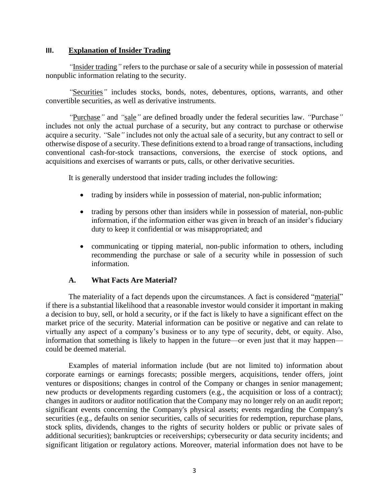#### **III. Explanation of Insider Trading**

*"*Insider trading*"* refers to the purchase or sale of a security while in possession of material nonpublic information relating to the security.

*"*Securities*"* includes stocks, bonds, notes, debentures, options, warrants, and other convertible securities, as well as derivative instruments.

*"*Purchase*"* and *"*sale*"* are defined broadly under the federal securities law. *"*Purchase*"* includes not only the actual purchase of a security, but any contract to purchase or otherwise acquire a security. *"*Sale*"* includes not only the actual sale of a security, but any contract to sell or otherwise dispose of a security. These definitions extend to a broad range of transactions, including conventional cash-for-stock transactions, conversions, the exercise of stock options, and acquisitions and exercises of warrants or puts, calls, or other derivative securities.

It is generally understood that insider trading includes the following:

- trading by insiders while in possession of material, non-public information;
- trading by persons other than insiders while in possession of material, non-public information, if the information either was given in breach of an insider's fiduciary duty to keep it confidential or was misappropriated; and
- communicating or tipping material, non-public information to others, including recommending the purchase or sale of a security while in possession of such information.

#### **A. What Facts Are Material?**

The materiality of a fact depends upon the circumstances. A fact is considered "material" if there is a substantial likelihood that a reasonable investor would consider it important in making a decision to buy, sell, or hold a security, or if the fact is likely to have a significant effect on the market price of the security. Material information can be positive or negative and can relate to virtually any aspect of a company's business or to any type of security, debt, or equity. Also, information that something is likely to happen in the future—or even just that it may happen could be deemed material.

Examples of material information include (but are not limited to) information about corporate earnings or earnings forecasts; possible mergers, acquisitions, tender offers, joint ventures or dispositions; changes in control of the Company or changes in senior management; new products or developments regarding customers (e.g., the acquisition or loss of a contract); changes in auditors or auditor notification that the Company may no longer rely on an audit report; significant events concerning the Company's physical assets; events regarding the Company's securities (e.g., defaults on senior securities, calls of securities for redemption, repurchase plans, stock splits, dividends, changes to the rights of security holders or public or private sales of additional securities); bankruptcies or receiverships; cybersecurity or data security incidents; and significant litigation or regulatory actions. Moreover, material information does not have to be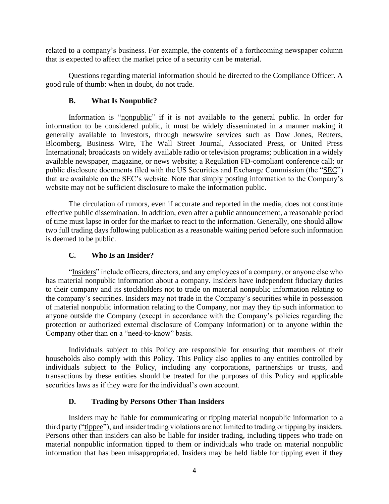related to a company's business. For example, the contents of a forthcoming newspaper column that is expected to affect the market price of a security can be material.

Questions regarding material information should be directed to the Compliance Officer. A good rule of thumb: when in doubt, do not trade.

## **B. What Is Nonpublic?**

Information is "nonpublic" if it is not available to the general public. In order for information to be considered public, it must be widely disseminated in a manner making it generally available to investors, through newswire services such as Dow Jones, Reuters, Bloomberg, Business Wire, The Wall Street Journal, Associated Press, or United Press International; broadcasts on widely available radio or television programs; publication in a widely available newspaper, magazine, or news website; a Regulation FD-compliant conference call; or public disclosure documents filed with the US Securities and Exchange Commission (the "SEC") that are available on the SEC's website. Note that simply posting information to the Company's website may not be sufficient disclosure to make the information public.

The circulation of rumors, even if accurate and reported in the media, does not constitute effective public dissemination. In addition, even after a public announcement, a reasonable period of time must lapse in order for the market to react to the information. Generally, one should allow two full trading days following publication as a reasonable waiting period before such information is deemed to be public.

## **C. Who Is an Insider?**

"Insiders" include officers, directors, and any employees of a company, or anyone else who has material nonpublic information about a company. Insiders have independent fiduciary duties to their company and its stockholders not to trade on material nonpublic information relating to the company's securities. Insiders may not trade in the Company's securities while in possession of material nonpublic information relating to the Company, nor may they tip such information to anyone outside the Company (except in accordance with the Company's policies regarding the protection or authorized external disclosure of Company information) or to anyone within the Company other than on a "need-to-know" basis.

Individuals subject to this Policy are responsible for ensuring that members of their households also comply with this Policy. This Policy also applies to any entities controlled by individuals subject to the Policy, including any corporations, partnerships or trusts, and transactions by these entities should be treated for the purposes of this Policy and applicable securities laws as if they were for the individual's own account.

#### **D. Trading by Persons Other Than Insiders**

Insiders may be liable for communicating or tipping material nonpublic information to a third party ("tippee"), and insider trading violations are not limited to trading or tipping by insiders. Persons other than insiders can also be liable for insider trading, including tippees who trade on material nonpublic information tipped to them or individuals who trade on material nonpublic information that has been misappropriated. Insiders may be held liable for tipping even if they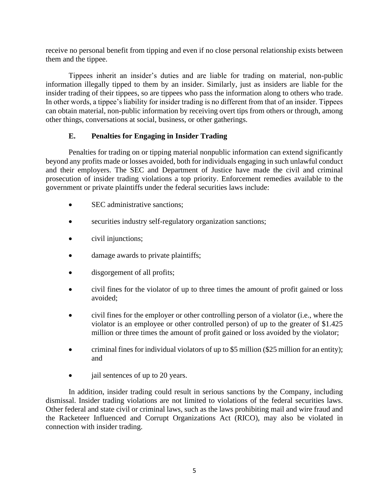receive no personal benefit from tipping and even if no close personal relationship exists between them and the tippee.

Tippees inherit an insider's duties and are liable for trading on material, non-public information illegally tipped to them by an insider. Similarly, just as insiders are liable for the insider trading of their tippees, so are tippees who pass the information along to others who trade. In other words, a tippee's liability for insider trading is no different from that of an insider. Tippees can obtain material, non-public information by receiving overt tips from others or through, among other things, conversations at social, business, or other gatherings.

## **E. Penalties for Engaging in Insider Trading**

Penalties for trading on or tipping material nonpublic information can extend significantly beyond any profits made or losses avoided, both for individuals engaging in such unlawful conduct and their employers. The SEC and Department of Justice have made the civil and criminal prosecution of insider trading violations a top priority. Enforcement remedies available to the government or private plaintiffs under the federal securities laws include:

- SEC administrative sanctions:
- securities industry self-regulatory organization sanctions;
- civil injunctions;
- damage awards to private plaintiffs;
- disgorgement of all profits;
- civil fines for the violator of up to three times the amount of profit gained or loss avoided;
- civil fines for the employer or other controlling person of a violator (i.e., where the violator is an employee or other controlled person) of up to the greater of \$1.425 million or three times the amount of profit gained or loss avoided by the violator;
- criminal fines for individual violators of up to \$5 million (\$25 million for an entity); and
- jail sentences of up to 20 years.

In addition, insider trading could result in serious sanctions by the Company, including dismissal. Insider trading violations are not limited to violations of the federal securities laws. Other federal and state civil or criminal laws, such as the laws prohibiting mail and wire fraud and the Racketeer Influenced and Corrupt Organizations Act (RICO), may also be violated in connection with insider trading.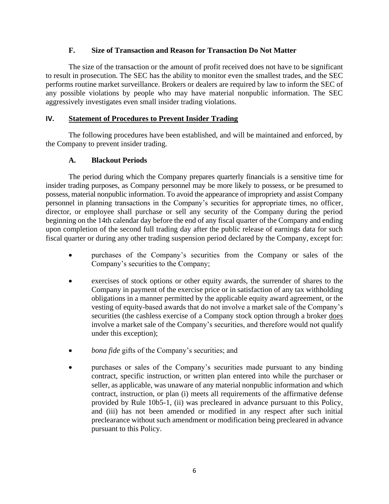#### **F. Size of Transaction and Reason for Transaction Do Not Matter**

The size of the transaction or the amount of profit received does not have to be significant to result in prosecution. The SEC has the ability to monitor even the smallest trades, and the SEC performs routine market surveillance. Brokers or dealers are required by law to inform the SEC of any possible violations by people who may have material nonpublic information. The SEC aggressively investigates even small insider trading violations.

## **IV. Statement of Procedures to Prevent Insider Trading**

The following procedures have been established, and will be maintained and enforced, by the Company to prevent insider trading.

#### **A. Blackout Periods**

The period during which the Company prepares quarterly financials is a sensitive time for insider trading purposes, as Company personnel may be more likely to possess, or be presumed to possess, material nonpublic information. To avoid the appearance of impropriety and assist Company personnel in planning transactions in the Company's securities for appropriate times, no officer, director, or employee shall purchase or sell any security of the Company during the period beginning on the 14th calendar day before the end of any fiscal quarter of the Company and ending upon completion of the second full trading day after the public release of earnings data for such fiscal quarter or during any other trading suspension period declared by the Company, except for:

- purchases of the Company's securities from the Company or sales of the Company's securities to the Company;
- exercises of stock options or other equity awards, the surrender of shares to the Company in payment of the exercise price or in satisfaction of any tax withholding obligations in a manner permitted by the applicable equity award agreement, or the vesting of equity-based awards that do not involve a market sale of the Company's securities (the cashless exercise of a Company stock option through a broker does involve a market sale of the Company's securities, and therefore would not qualify under this exception);
- *bona fide* gifts of the Company's securities; and
- purchases or sales of the Company's securities made pursuant to any binding contract, specific instruction, or written plan entered into while the purchaser or seller, as applicable, was unaware of any material nonpublic information and which contract, instruction, or plan (i) meets all requirements of the affirmative defense provided by Rule 10b5-1, (ii) was precleared in advance pursuant to this Policy, and (iii) has not been amended or modified in any respect after such initial preclearance without such amendment or modification being precleared in advance pursuant to this Policy.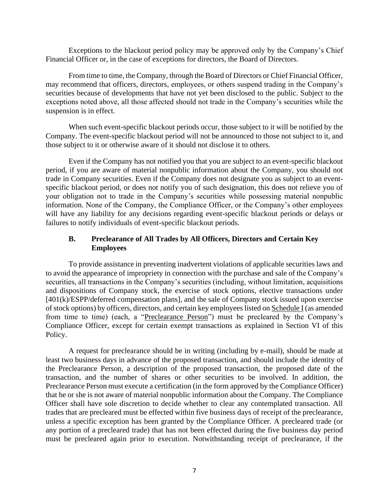Exceptions to the blackout period policy may be approved only by the Company's Chief Financial Officer or, in the case of exceptions for directors, the Board of Directors.

From time to time, the Company, through the Board of Directors or Chief Financial Officer, may recommend that officers, directors, employees, or others suspend trading in the Company's securities because of developments that have not yet been disclosed to the public. Subject to the exceptions noted above, all those affected should not trade in the Company's securities while the suspension is in effect.

When such event-specific blackout periods occur, those subject to it will be notified by the Company. The event-specific blackout period will not be announced to those not subject to it, and those subject to it or otherwise aware of it should not disclose it to others.

Even if the Company has not notified you that you are subject to an event-specific blackout period, if you are aware of material nonpublic information about the Company, you should not trade in Company securities. Even if the Company does not designate you as subject to an eventspecific blackout period, or does not notify you of such designation, this does not relieve you of your obligation not to trade in the Company's securities while possessing material nonpublic information. None of the Company, the Compliance Officer, or the Company's other employees will have any liability for any decisions regarding event-specific blackout periods or delays or failures to notify individuals of event-specific blackout periods.

## **B. Preclearance of All Trades by All Officers, Directors and Certain Key Employees**

To provide assistance in preventing inadvertent violations of applicable securities laws and to avoid the appearance of impropriety in connection with the purchase and sale of the Company's securities, all transactions in the Company's securities (including, without limitation, acquisitions and dispositions of Company stock, the exercise of stock options, elective transactions under [401(k)/ESPP/deferred compensation plans], and the sale of Company stock issued upon exercise of stock options) by officers, directors, and certain key employees listed on Schedule I (as amended from time to time) (each, a "Preclearance Person") must be precleared by the Company's Compliance Officer, except for certain exempt transactions as explained in Section VI of this Policy.

A request for preclearance should be in writing (including by e-mail), should be made at least two business days in advance of the proposed transaction, and should include the identity of the Preclearance Person, a description of the proposed transaction, the proposed date of the transaction, and the number of shares or other securities to be involved. In addition, the Preclearance Person must execute a certification (in the form approved by the Compliance Officer) that he or she is not aware of material nonpublic information about the Company. The Compliance Officer shall have sole discretion to decide whether to clear any contemplated transaction. All trades that are precleared must be effected within five business days of receipt of the preclearance, unless a specific exception has been granted by the Compliance Officer. A precleared trade (or any portion of a precleared trade) that has not been effected during the five business day period must be precleared again prior to execution. Notwithstanding receipt of preclearance, if the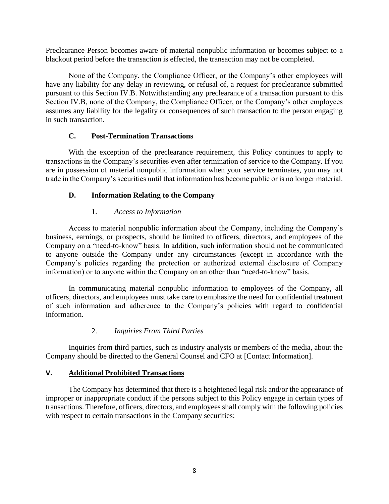Preclearance Person becomes aware of material nonpublic information or becomes subject to a blackout period before the transaction is effected, the transaction may not be completed.

None of the Company, the Compliance Officer, or the Company's other employees will have any liability for any delay in reviewing, or refusal of, a request for preclearance submitted pursuant to this Section IV.B. Notwithstanding any preclearance of a transaction pursuant to this Section IV.B, none of the Company, the Compliance Officer, or the Company's other employees assumes any liability for the legality or consequences of such transaction to the person engaging in such transaction.

#### **C. Post-Termination Transactions**

With the exception of the preclearance requirement, this Policy continues to apply to transactions in the Company's securities even after termination of service to the Company. If you are in possession of material nonpublic information when your service terminates, you may not trade in the Company's securities until that information has become public or is no longer material.

## **D. Information Relating to the Company**

#### 1. *Access to Information*

Access to material nonpublic information about the Company, including the Company's business, earnings, or prospects, should be limited to officers, directors, and employees of the Company on a "need-to-know" basis. In addition, such information should not be communicated to anyone outside the Company under any circumstances (except in accordance with the Company's policies regarding the protection or authorized external disclosure of Company information) or to anyone within the Company on an other than "need-to-know" basis.

In communicating material nonpublic information to employees of the Company, all officers, directors, and employees must take care to emphasize the need for confidential treatment of such information and adherence to the Company's policies with regard to confidential information.

## 2. *Inquiries From Third Parties*

Inquiries from third parties, such as industry analysts or members of the media, about the Company should be directed to the General Counsel and CFO at [Contact Information].

## **V. Additional Prohibited Transactions**

The Company has determined that there is a heightened legal risk and/or the appearance of improper or inappropriate conduct if the persons subject to this Policy engage in certain types of transactions. Therefore, officers, directors, and employees shall comply with the following policies with respect to certain transactions in the Company securities: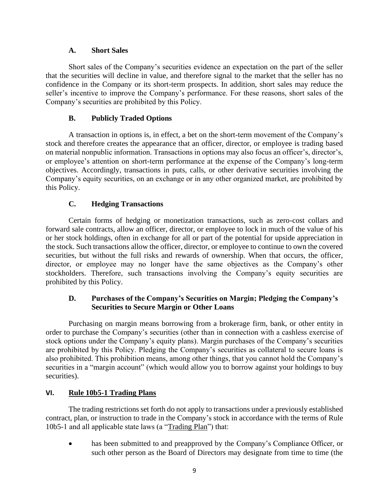#### **A. Short Sales**

Short sales of the Company's securities evidence an expectation on the part of the seller that the securities will decline in value, and therefore signal to the market that the seller has no confidence in the Company or its short-term prospects. In addition, short sales may reduce the seller's incentive to improve the Company's performance. For these reasons, short sales of the Company's securities are prohibited by this Policy.

## **B. Publicly Traded Options**

A transaction in options is, in effect, a bet on the short-term movement of the Company's stock and therefore creates the appearance that an officer, director, or employee is trading based on material nonpublic information. Transactions in options may also focus an officer's, director's, or employee's attention on short-term performance at the expense of the Company's long-term objectives. Accordingly, transactions in puts, calls, or other derivative securities involving the Company's equity securities, on an exchange or in any other organized market, are prohibited by this Policy.

# **C. Hedging Transactions**

Certain forms of hedging or monetization transactions, such as zero-cost collars and forward sale contracts, allow an officer, director, or employee to lock in much of the value of his or her stock holdings, often in exchange for all or part of the potential for upside appreciation in the stock. Such transactions allow the officer, director, or employee to continue to own the covered securities, but without the full risks and rewards of ownership. When that occurs, the officer, director, or employee may no longer have the same objectives as the Company's other stockholders. Therefore, such transactions involving the Company's equity securities are prohibited by this Policy.

# **D. Purchases of the Company's Securities on Margin; Pledging the Company's Securities to Secure Margin or Other Loans**

Purchasing on margin means borrowing from a brokerage firm, bank, or other entity in order to purchase the Company's securities (other than in connection with a cashless exercise of stock options under the Company's equity plans). Margin purchases of the Company's securities are prohibited by this Policy. Pledging the Company's securities as collateral to secure loans is also prohibited. This prohibition means, among other things, that you cannot hold the Company's securities in a "margin account" (which would allow you to borrow against your holdings to buy securities).

## **VI. Rule 10b5-1 Trading Plans**

The trading restrictions set forth do not apply to transactions under a previously established contract, plan, or instruction to trade in the Company's stock in accordance with the terms of Rule 10b5-1 and all applicable state laws (a "Trading Plan") that:

has been submitted to and preapproved by the Company's Compliance Officer, or such other person as the Board of Directors may designate from time to time (the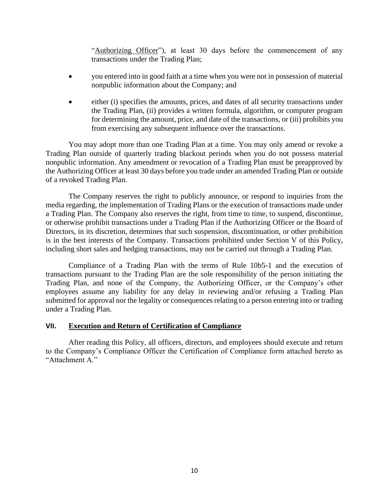"Authorizing Officer"), at least 30 days before the commencement of any transactions under the Trading Plan;

- you entered into in good faith at a time when you were not in possession of material nonpublic information about the Company; and
- either (i) specifies the amounts, prices, and dates of all security transactions under the Trading Plan, (ii) provides a written formula, algorithm, or computer program for determining the amount, price, and date of the transactions, or (iii) prohibits you from exercising any subsequent influence over the transactions.

You may adopt more than one Trading Plan at a time. You may only amend or revoke a Trading Plan outside of quarterly trading blackout periods when you do not possess material nonpublic information. Any amendment or revocation of a Trading Plan must be preapproved by the Authorizing Officer at least 30 days before you trade under an amended Trading Plan or outside of a revoked Trading Plan.

The Company reserves the right to publicly announce, or respond to inquiries from the media regarding, the implementation of Trading Plans or the execution of transactions made under a Trading Plan. The Company also reserves the right, from time to time, to suspend, discontinue, or otherwise prohibit transactions under a Trading Plan if the Authorizing Officer or the Board of Directors, in its discretion, determines that such suspension, discontinuation, or other prohibition is in the best interests of the Company. Transactions prohibited under Section V of this Policy, including short sales and hedging transactions, may not be carried out through a Trading Plan.

Compliance of a Trading Plan with the terms of Rule 10b5-1 and the execution of transactions pursuant to the Trading Plan are the sole responsibility of the person initiating the Trading Plan, and none of the Company, the Authorizing Officer, or the Company's other employees assume any liability for any delay in reviewing and/or refusing a Trading Plan submitted for approval nor the legality or consequences relating to a person entering into or trading under a Trading Plan.

#### **VII. Execution and Return of Certification of Compliance**

After reading this Policy, all officers, directors, and employees should execute and return to the Company's Compliance Officer the Certification of Compliance form attached hereto as "Attachment A."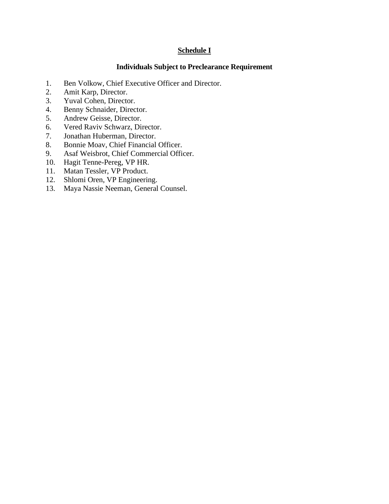# **Schedule I**

## **Individuals Subject to Preclearance Requirement**

- 1. Ben Volkow, Chief Executive Officer and Director.
- 2. Amit Karp, Director.
- 3. Yuval Cohen, Director.
- 4. Benny Schnaider, Director.
- 5. Andrew Geisse, Director.
- 6. Vered Raviv Schwarz, Director.
- 7. Jonathan Huberman, Director.
- 8. Bonnie Moav, Chief Financial Officer.
- 9. Asaf Weisbrot, Chief Commercial Officer.
- 10. Hagit Tenne-Pereg, VP HR.
- 11. Matan Tessler, VP Product.
- 12. Shlomi Oren, VP Engineering.
- 13. Maya Nassie Neeman, General Counsel.